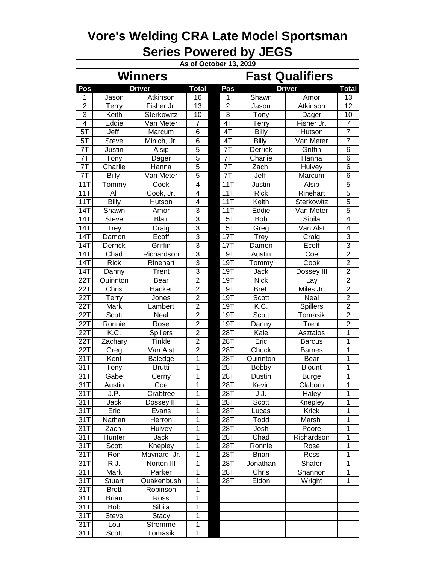| <b>Vore's Welding CRA Late Model Sportsman</b><br><b>Series Powered by JEGS</b> |                 |                            |                                      |                |                          |                    |                |  |  |  |  |  |  |
|---------------------------------------------------------------------------------|-----------------|----------------------------|--------------------------------------|----------------|--------------------------|--------------------|----------------|--|--|--|--|--|--|
| As of October 13, 2019                                                          |                 |                            |                                      |                |                          |                    |                |  |  |  |  |  |  |
|                                                                                 | <b>Winners</b>  | <b>Fast Qualifiers</b>     |                                      |                |                          |                    |                |  |  |  |  |  |  |
| Pos<br><b>Driver</b>                                                            |                 |                            | <b>Total</b><br>Pos<br><b>Driver</b> |                |                          |                    |                |  |  |  |  |  |  |
| 1                                                                               | Jason           | Atkinson                   | 16                                   | 1              | Shawn                    | Amor               | Total<br>13    |  |  |  |  |  |  |
| $\overline{2}$                                                                  | <b>Terry</b>    | Fisher Jr.                 | 13                                   | $\overline{2}$ | Jason                    | Atkinson           | 12             |  |  |  |  |  |  |
| 3                                                                               | Keith           | Sterkowitz                 | 10                                   | 3              | Tony                     | Dager              | 10             |  |  |  |  |  |  |
| $\overline{4}$                                                                  | Eddie           | Van Meter                  | 7                                    | 4T             | Terry                    | Fisher Jr.         | $\overline{7}$ |  |  |  |  |  |  |
| $5\overline{1}$                                                                 | Jeff            | Marcum                     | 6                                    | 4T             | Billy                    | Hutson             | 7              |  |  |  |  |  |  |
| 5T                                                                              | <b>Steve</b>    | Minich, Jr.                | 6                                    | 4T             | Billy                    | Van Meter          | 7              |  |  |  |  |  |  |
| 7T                                                                              | Justin          | Alsip                      | $\overline{5}$                       | 7T             | Derrick                  | Griffin            | 6              |  |  |  |  |  |  |
| 7T                                                                              | Tony            | Dager                      | $\overline{5}$                       | 7T             | Charlie                  | Hanna              | 6              |  |  |  |  |  |  |
| 7T                                                                              | Charlie         | Hanna                      | $\overline{5}$                       | 71             | Zach                     | Hulvey             | 6              |  |  |  |  |  |  |
| 7T                                                                              | Billy           | Van Meter                  | $\overline{5}$                       | 71             | Jeff                     | Marcum             | 6              |  |  |  |  |  |  |
| 11T                                                                             | Tommy           | Cook                       | $\overline{4}$                       | <b>11T</b>     | Justin                   | Alsip              | 5              |  |  |  |  |  |  |
| 11T                                                                             | Al              | Cook, Jr.                  | 4                                    | 11T            | <b>Rick</b>              | Rinehart           | 5              |  |  |  |  |  |  |
| 11T                                                                             | <b>Billy</b>    | Hutson                     | $\overline{\mathbf{4}}$              | 11T            | Keith                    | Sterkowitz         | $\overline{5}$ |  |  |  |  |  |  |
| 14T                                                                             | Shawn           | Amor                       | $\overline{3}$                       | 11T            | Eddie                    | Van Meter          | $\overline{5}$ |  |  |  |  |  |  |
| 14T                                                                             | <b>Steve</b>    | <b>Blair</b>               | $\overline{3}$                       | 15T            | <b>Bob</b>               | Sibila             | 4              |  |  |  |  |  |  |
| <b>14T</b>                                                                      | Trey            | Craig                      | $\overline{3}$                       | 15T            | Greg                     | Van Alst           | 4              |  |  |  |  |  |  |
| 14T                                                                             | Damon           | Ecoff                      | $\overline{3}$                       | 17T            | Trey                     | Craig              | 3              |  |  |  |  |  |  |
| 14T                                                                             | <b>Derrick</b>  | Griffin                    | $\overline{3}$                       | 17T            | Damon                    | Ecoff              | $\overline{3}$ |  |  |  |  |  |  |
| 14T                                                                             | Chad            | Richardson                 | $\overline{3}$                       | 19T            | Austin                   | Coe                | $\overline{2}$ |  |  |  |  |  |  |
| 14T                                                                             | <b>Rick</b>     | Rinehart                   | $\overline{3}$                       | 19T            | Tommy                    | Cook               | $\overline{2}$ |  |  |  |  |  |  |
| $\overline{14}$ T                                                               | Danny           | Trent                      | $\overline{3}$                       | 19T            | Jack                     | Dossey III         | $\overline{2}$ |  |  |  |  |  |  |
| <b>22T</b>                                                                      | Quinnton        | Bear                       | $\overline{2}$                       | 19T            | <b>Nick</b>              | Lay                | $\overline{2}$ |  |  |  |  |  |  |
| 22T                                                                             | Chris           | Hacker                     | $\overline{2}$                       | 19T            | <b>Bret</b>              | Miles Jr.          | $\overline{2}$ |  |  |  |  |  |  |
| 22T                                                                             | Terry           | Jones                      | $\overline{2}$                       | 19T            | Scott                    | <b>Neal</b>        | $\overline{2}$ |  |  |  |  |  |  |
| 22T                                                                             | <b>Mark</b>     | Lambert                    | $\overline{2}$                       | 19T            | K.C.                     | <b>Spillers</b>    | $\overline{2}$ |  |  |  |  |  |  |
| 22T                                                                             | Scott           | Neal                       | $\overline{2}$                       | 19T            | Scott                    | Tomasik            | $\overline{2}$ |  |  |  |  |  |  |
| 22T                                                                             | Ronnie          | Rose                       | $\overline{2}$                       | 19T            | Danny                    | Trent              | $\overline{2}$ |  |  |  |  |  |  |
| 22T                                                                             | K.C.            | <b>Spillers</b>            | $\overline{2}$                       | 28T            | Kale                     | Asztalos           | 1              |  |  |  |  |  |  |
| 22T                                                                             | Zachary         | Tinkle                     | $\overline{2}$                       | 28T            | Eric                     | <b>Barcus</b>      | 1              |  |  |  |  |  |  |
| 22T                                                                             | Greg            | Van Alst                   | $\overline{c}$                       | 28T            | Chuck                    | <b>Barnes</b>      | 1              |  |  |  |  |  |  |
| 31T                                                                             | Kent            | Baledge                    | 1                                    | 28T            | Quinnton                 | Bear               | 1              |  |  |  |  |  |  |
| 31T                                                                             | Tony            | <b>Brutti</b>              | 1                                    | 28T            | <b>Bobby</b>             | <b>Blount</b>      | 1              |  |  |  |  |  |  |
| 31T                                                                             | Gabe            | Cerny                      | 1                                    | 28T            | Dustin                   | <b>Burge</b>       | 1              |  |  |  |  |  |  |
| $\overline{31}$ T                                                               | Austin          | Coe                        | 1                                    | 28T            | Kevin                    | Claborn            | 1              |  |  |  |  |  |  |
| 31T                                                                             | J.P.            | Crabtree                   | 1                                    | 28T            | J.J.                     | Haley              | 1              |  |  |  |  |  |  |
| 31T                                                                             | Jack            | Dossey III                 | 1                                    | 28T            | Scott                    | Knepley            | 1              |  |  |  |  |  |  |
| 31T                                                                             | Eric            | Evans                      | 1                                    | 28T            | Lucas                    | <b>Krick</b>       | 1              |  |  |  |  |  |  |
| 31T                                                                             | Nathan          | Herron                     | 1                                    | 28T            | Todd                     | Marsh              | 1<br>1         |  |  |  |  |  |  |
| 31T<br>31T                                                                      | Zach            | Hulvey                     | 1<br>1                               | 28T<br>28T     | Josh                     | Poore              |                |  |  |  |  |  |  |
| $\overline{31}$                                                                 | Hunter<br>Scott | Jack<br>Knepley            | 1                                    | 28T            | Chad<br>Ronnie           | Richardson<br>Rose | 1<br>1         |  |  |  |  |  |  |
| 31T                                                                             |                 |                            | 1                                    | 28T            |                          |                    | 1              |  |  |  |  |  |  |
| 31T                                                                             | Ron<br>R.J.     | Maynard, Jr.<br>Norton III | 1                                    | 28T            | <b>Brian</b><br>Jonathan | Ross<br>Shafer     | 1              |  |  |  |  |  |  |
| $\overline{31}$                                                                 | Mark            | Parker                     | 1                                    | 28T            | Chris                    | Shannon            | 1              |  |  |  |  |  |  |
| 31T                                                                             | <b>Stuart</b>   | Quakenbush                 | 1                                    | 28T            | Eldon                    | Wright             | 1              |  |  |  |  |  |  |
| $\overline{3}1$                                                                 | <b>Brett</b>    | Robinson                   | 1                                    |                |                          |                    |                |  |  |  |  |  |  |
| 31T                                                                             | <b>Brian</b>    | Ross                       | $\overline{1}$                       |                |                          |                    |                |  |  |  |  |  |  |
| 31T                                                                             | Bob             | Sibila                     | 1                                    |                |                          |                    |                |  |  |  |  |  |  |
| 31T                                                                             | <b>Steve</b>    | <b>Stacy</b>               | 1                                    |                |                          |                    |                |  |  |  |  |  |  |
| 31T                                                                             | Lou             | Stremme                    | 1                                    |                |                          |                    |                |  |  |  |  |  |  |
| 31T                                                                             | Scott           | Tomasik                    | 1                                    |                |                          |                    |                |  |  |  |  |  |  |